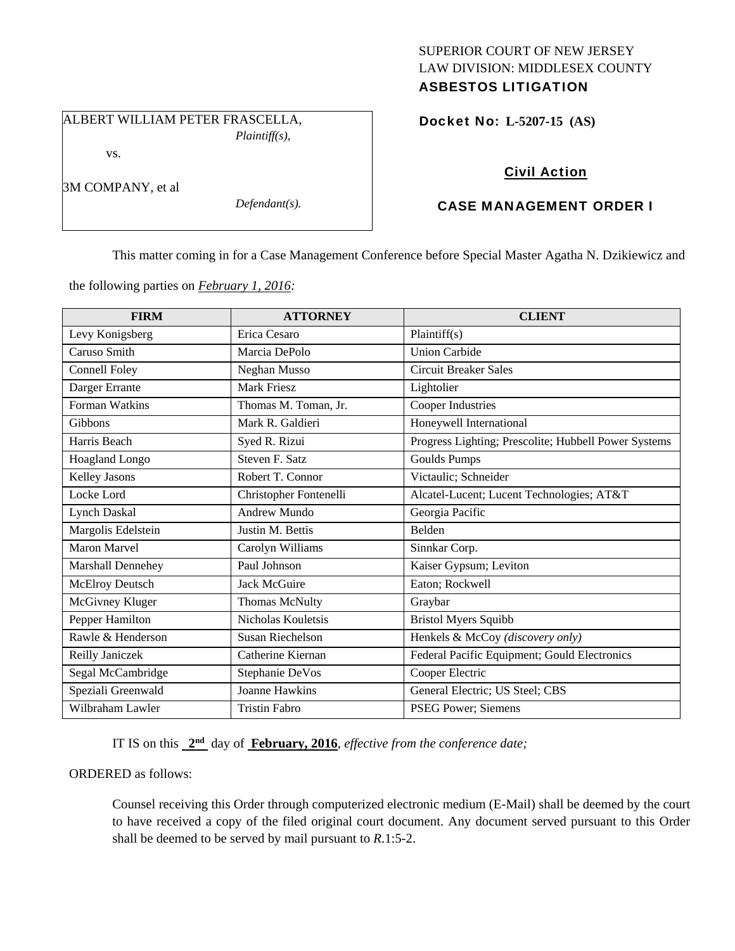### SUPERIOR COURT OF NEW JERSEY LAW DIVISION: MIDDLESEX COUNTY ASBESTOS LITIGATION

ALBERT WILLIAM PETER FRASCELLA,

*Plaintiff(s),* 

Docket No: **L-5207-15 (AS)** 

vs.

3M COMPANY, et al

*Defendant(s).* 

# Civil Action

## CASE MANAGEMENT ORDER I

This matter coming in for a Case Management Conference before Special Master Agatha N. Dzikiewicz and

the following parties on *February 1, 2016:* 

| <b>FIRM</b>              | <b>ATTORNEY</b>        | <b>CLIENT</b>                                        |
|--------------------------|------------------------|------------------------------------------------------|
| Levy Konigsberg          | Erica Cesaro           | Plaintiff(s)                                         |
| Caruso Smith             | Marcia DePolo          | <b>Union Carbide</b>                                 |
| Connell Foley            | Neghan Musso           | <b>Circuit Breaker Sales</b>                         |
| Darger Errante           | <b>Mark Friesz</b>     | Lightolier                                           |
| Forman Watkins           | Thomas M. Toman, Jr.   | Cooper Industries                                    |
| Gibbons                  | Mark R. Galdieri       | Honeywell International                              |
| Harris Beach             | Syed R. Rizui          | Progress Lighting; Prescolite; Hubbell Power Systems |
| <b>Hoagland Longo</b>    | Steven F. Satz         | <b>Goulds Pumps</b>                                  |
| Kelley Jasons            | Robert T. Connor       | Victaulic; Schneider                                 |
| Locke Lord               | Christopher Fontenelli | Alcatel-Lucent; Lucent Technologies; AT&T            |
| <b>Lynch Daskal</b>      | <b>Andrew Mundo</b>    | Georgia Pacific                                      |
| Margolis Edelstein       | Justin M. Bettis       | Belden                                               |
| <b>Maron Marvel</b>      | Carolyn Williams       | Sinnkar Corp.                                        |
| <b>Marshall Dennehey</b> | Paul Johnson           | Kaiser Gypsum; Leviton                               |
| <b>McElroy Deutsch</b>   | Jack McGuire           | Eaton; Rockwell                                      |
| McGivney Kluger          | Thomas McNulty         | Graybar                                              |
| Pepper Hamilton          | Nicholas Kouletsis     | <b>Bristol Myers Squibb</b>                          |
| Rawle & Henderson        | Susan Riechelson       | Henkels & McCoy (discovery only)                     |
| Reilly Janiczek          | Catherine Kiernan      | Federal Pacific Equipment; Gould Electronics         |
| Segal McCambridge        | Stephanie DeVos        | Cooper Electric                                      |
| Speziali Greenwald       | Joanne Hawkins         | General Electric; US Steel; CBS                      |
| Wilbraham Lawler         | <b>Tristin Fabro</b>   | PSEG Power; Siemens                                  |

IT IS on this **2nd** day of **February, 2016**, *effective from the conference date;*

ORDERED as follows:

Counsel receiving this Order through computerized electronic medium (E-Mail) shall be deemed by the court to have received a copy of the filed original court document. Any document served pursuant to this Order shall be deemed to be served by mail pursuant to *R*.1:5-2.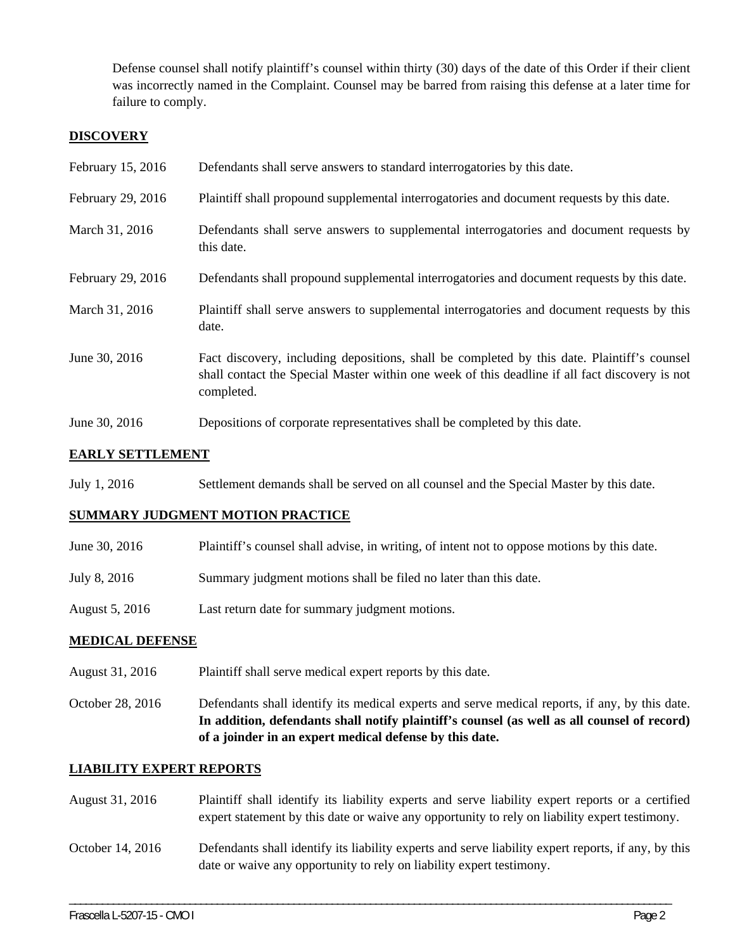Defense counsel shall notify plaintiff's counsel within thirty (30) days of the date of this Order if their client was incorrectly named in the Complaint. Counsel may be barred from raising this defense at a later time for failure to comply.

### **DISCOVERY**

| February 15, 2016 | Defendants shall serve answers to standard interrogatories by this date.                                                                                                                                    |
|-------------------|-------------------------------------------------------------------------------------------------------------------------------------------------------------------------------------------------------------|
| February 29, 2016 | Plaintiff shall propound supplemental interrogatories and document requests by this date.                                                                                                                   |
| March 31, 2016    | Defendants shall serve answers to supplemental interrogatories and document requests by<br>this date.                                                                                                       |
| February 29, 2016 | Defendants shall propound supplemental interrogatories and document requests by this date.                                                                                                                  |
| March 31, 2016    | Plaintiff shall serve answers to supplemental interrogatories and document requests by this<br>date.                                                                                                        |
| June 30, 2016     | Fact discovery, including depositions, shall be completed by this date. Plaintiff's counsel<br>shall contact the Special Master within one week of this deadline if all fact discovery is not<br>completed. |
| June 30, 2016     | Depositions of corporate representatives shall be completed by this date.                                                                                                                                   |

## **EARLY SETTLEMENT**

July 1, 2016 Settlement demands shall be served on all counsel and the Special Master by this date.

### **SUMMARY JUDGMENT MOTION PRACTICE**

- June 30, 2016 Plaintiff's counsel shall advise, in writing, of intent not to oppose motions by this date.
- July 8, 2016 Summary judgment motions shall be filed no later than this date.
- August 5, 2016 Last return date for summary judgment motions.

### **MEDICAL DEFENSE**

August 31, 2016 Plaintiff shall serve medical expert reports by this date.

October 28, 2016 Defendants shall identify its medical experts and serve medical reports, if any, by this date. **In addition, defendants shall notify plaintiff's counsel (as well as all counsel of record) of a joinder in an expert medical defense by this date.** 

### **LIABILITY EXPERT REPORTS**

August 31, 2016 Plaintiff shall identify its liability experts and serve liability expert reports or a certified expert statement by this date or waive any opportunity to rely on liability expert testimony. October 14, 2016 Defendants shall identify its liability experts and serve liability expert reports, if any, by this date or waive any opportunity to rely on liability expert testimony.

\_\_\_\_\_\_\_\_\_\_\_\_\_\_\_\_\_\_\_\_\_\_\_\_\_\_\_\_\_\_\_\_\_\_\_\_\_\_\_\_\_\_\_\_\_\_\_\_\_\_\_\_\_\_\_\_\_\_\_\_\_\_\_\_\_\_\_\_\_\_\_\_\_\_\_\_\_\_\_\_\_\_\_\_\_\_\_\_\_\_\_\_\_\_\_\_\_\_\_\_\_\_\_\_\_\_\_\_\_\_